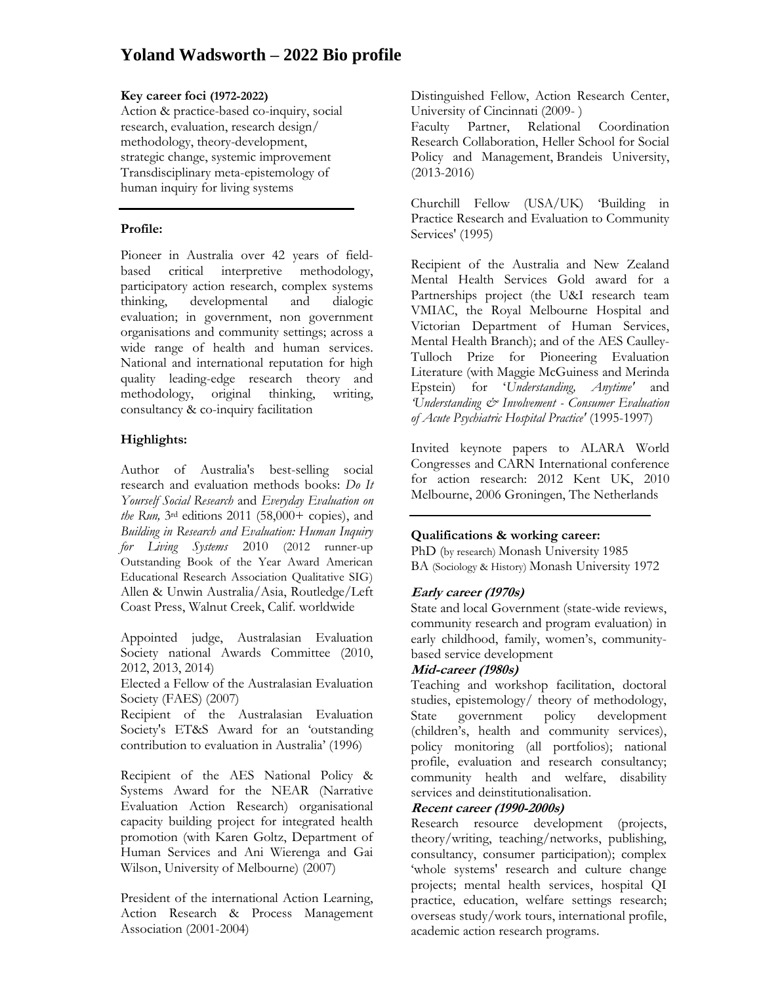# **Yoland Wadsworth – 2022 Bio profile**

#### **Key career foci (1972-2022)**

Action & practice-based co-inquiry, social research, evaluation, research design/ methodology, theory-development, strategic change, systemic improvement Transdisciplinary meta-epistemology of human inquiry for living systems

## **Profile:**

Pioneer in Australia over 42 years of fieldbased critical interpretive methodology, participatory action research, complex systems thinking, developmental and dialogic evaluation; in government, non government organisations and community settings; across a wide range of health and human services. National and international reputation for high quality leading-edge research theory and methodology, original thinking, writing, consultancy & co-inquiry facilitation

# **Highlights:**

Author of Australia's best-selling social research and evaluation methods books: *Do It Yourself Social Research* and *Everyday Evaluation on the Run,* 3rd editions 2011 (58,000+ copies), and *Building in Research and Evaluation: Human Inquiry for Living Systems* 2010 (2012 runner-up Outstanding Book of the Year Award American Educational Research Association Qualitative SIG) Allen & Unwin Australia/Asia, Routledge/Left Coast Press, Walnut Creek, Calif. worldwide

Appointed judge, Australasian Evaluation Society national Awards Committee (2010, 2012, 2013, 2014)

Elected a Fellow of the Australasian Evaluation Society (FAES) (2007)

Recipient of the Australasian Evaluation Society's ET&S Award for an 'outstanding contribution to evaluation in Australia' (1996)

Recipient of the AES National Policy & Systems Award for the NEAR (Narrative Evaluation Action Research) organisational capacity building project for integrated health promotion (with Karen Goltz, Department of Human Services and Ani Wierenga and Gai Wilson, University of Melbourne) (2007)

President of the international Action Learning, Action Research & Process Management Association (2001-2004)

Distinguished Fellow, Action Research Center, University of Cincinnati (2009- )

Faculty Partner, Relational Coordination Research Collaboration, Heller School for Social Policy and Management, Brandeis University, (2013-2016)

Churchill Fellow (USA/UK) 'Building in Practice Research and Evaluation to Community Services' (1995)

Recipient of the Australia and New Zealand Mental Health Services Gold award for a Partnerships project (the U&I research team VMIAC, the Royal Melbourne Hospital and Victorian Department of Human Services, Mental Health Branch); and of the AES Caulley-Tulloch Prize for Pioneering Evaluation Literature (with Maggie McGuiness and Merinda Epstein) for '*Understanding, Anytime'* and *'Understanding & Involvement - Consumer Evaluation of Acute Psychiatric Hospital Practice'* (1995-1997)

Invited keynote papers to ALARA World Congresses and CARN International conference for action research: 2012 Kent UK, 2010 Melbourne, 2006 Groningen, The Netherlands

# **Qualifications & working career:**

PhD (by research) Monash University 1985 BA (Sociology & History) Monash University 1972

# **Early career (1970s)**

State and local Government (state-wide reviews, community research and program evaluation) in early childhood, family, women's, communitybased service development

## **Mid-career (1980s)**

Teaching and workshop facilitation, doctoral studies, epistemology/ theory of methodology, State government policy development (children's, health and community services), policy monitoring (all portfolios); national profile, evaluation and research consultancy; community health and welfare, disability services and deinstitutionalisation.

## **Recent career (1990-2000s)**

Research resource development (projects, theory/writing, teaching/networks, publishing, consultancy, consumer participation); complex 'whole systems' research and culture change projects; mental health services, hospital QI practice, education, welfare settings research; overseas study/work tours, international profile, academic action research programs.